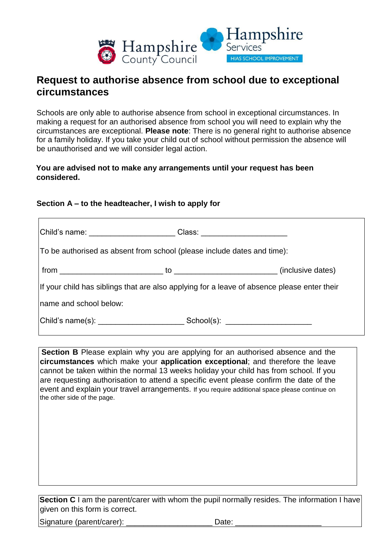

## **Request to authorise absence from school due to exceptional circumstances**

Schools are only able to authorise absence from school in exceptional circumstances. In making a request for an authorised absence from school you will need to explain why the circumstances are exceptional. **Please note**: There is no general right to authorise absence for a family holiday. If you take your child out of school without permission the absence will be unauthorised and we will consider legal action.

## **You are advised not to make any arrangements until your request has been considered.**

## **Section A – to the headteacher, I wish to apply for**

|                                                                                             | Class: __________________ |  |
|---------------------------------------------------------------------------------------------|---------------------------|--|
| To be authorised as absent from school (please include dates and time):                     |                           |  |
|                                                                                             |                           |  |
| If your child has siblings that are also applying for a leave of absence please enter their |                           |  |
| Iname and school below:                                                                     |                           |  |
|                                                                                             |                           |  |

**Section B** Please explain why you are applying for an authorised absence and the **circumstances** which make your **application exceptional**; and therefore the leave cannot be taken within the normal 13 weeks holiday your child has from school. If you are requesting authorisation to attend a specific event please confirm the date of the event and explain your travel arrangements. If you require additional space please continue on the other side of the page.

**Section C** I am the parent/carer with whom the pupil normally resides. The information I have given on this form is correct.

Signature (parent/carer): <br>
Date: